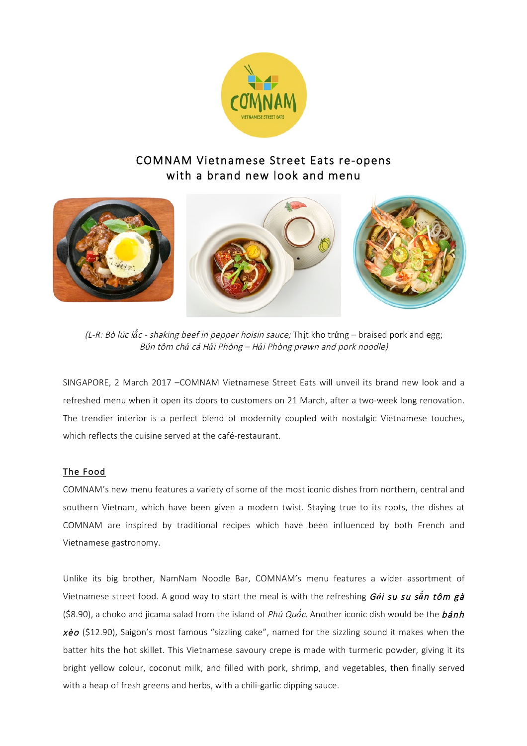

# COMNAM Vietnamese Street Eats re-opens with a brand new look and menu



(L-R: Bò lúc l*ắ*c - shaking beef in pepper hoisin sauce; Thịt kho trứng – braised pork and egg; Bún tôm ch*ả* cá <sup>H</sup>*ả*i Phòng – <sup>H</sup>*ả*i Phòng prawn and pork noodle)

SINGAPORE, 2 March 2017 –COMNAM Vietnamese Street Eats will unveil its brand new look and a refreshed menu when it open its doors to customers on 21 March, after a two-week long renovation. The trendier interior is a perfect blend of modernity coupled with nostalgic Vietnamese touches, which reflects the cuisine served at the café-restaurant.

### The Food

COMNAM's new menu features a variety of some of the most iconic dishes from northern, central and southern Vietnam, which have been given a modern twist. Staying true to its roots, the dishes at COMNAM are inspired by traditional recipes which have been influenced by both French and Vietnamese gastronomy.

Unlike its big brother, NamNam Noodle Bar, COMNAM's menu features a wider assortment of Vietnamese street food. A good way to start the meal is with the refreshing G*ỏ*i su su s*ắ*n tôm gà (\$8.90), a choko and jicama salad from the island of Phú Qu*ố*c. Another iconic dish would be the bánh  $x\dot{e}o$  (\$12.90), Saigon's most famous "sizzling cake", named for the sizzling sound it makes when the batter hits the hot skillet. This Vietnamese savoury crepe is made with turmeric powder, giving it its bright yellow colour, coconut milk, and filled with pork, shrimp, and vegetables, then finally served with a heap of fresh greens and herbs, with a chili-garlic dipping sauce.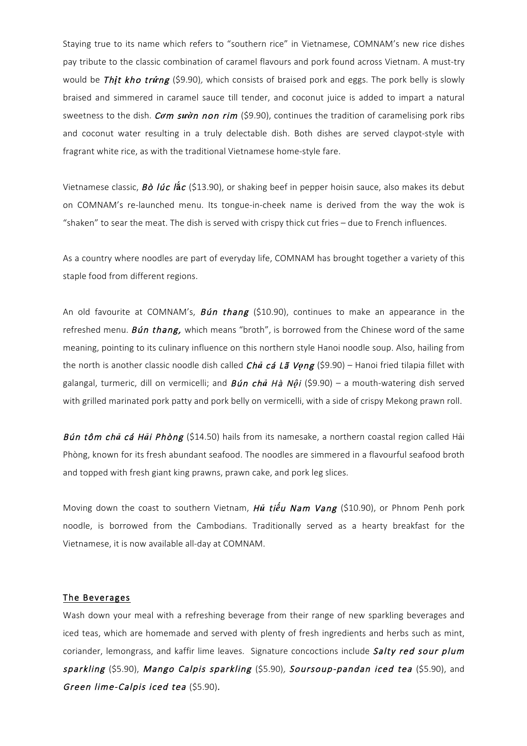Staying true to its name which refers to "southern rice" in Vietnamese, COMNAM's new rice dishes pay tribute to the classic combination of caramel flavours and pork found across Vietnam. A must-try would be Th*ị*t kho tr*ứ*ng (\$9.90), which consists of braised pork and eggs. The pork belly is slowly braised and simmered in caramel sauce till tender, and coconut juice is added to impart a natural sweetness to the dish. C*ơ*m s*ườ*n non rim (\$9.90), continues the tradition of caramelising pork ribs and coconut water resulting in a truly delectable dish. Both dishes are served claypot-style with fragrant white rice, as with the traditional Vietnamese home-style fare.

Vietnamese classic, Bò lúc l**ắ**c (\$13.90), or shaking beef in pepper hoisin sauce, also makes its debut on COMNAM's re-launched menu. Its tongue-in-cheek name is derived from the way the wok is "shaken" to sear the meat. The dish is served with crispy thick cut fries – due to French influences.

As a country where noodles are part of everyday life, COMNAM has brought together a variety of this staple food from different regions.

An old favourite at COMNAM's,  $Bún thang$  (\$10.90), continues to make an appearance in the refreshed menu. **Bún thang,** which means "broth", is borrowed from the Chinese word of the same meaning, pointing to its culinary influence on this northern style Hanoi noodle soup. Also, hailing from the north is another classic noodle dish called Ch*ả* cá Lã V*ọ*ng (\$9.90) – Hanoi fried tilapia fillet with galangal, turmeric, dill on vermicelli; and Bún ch*ả* Hà N*ộ*<sup>i</sup> (\$9.90) – a mouth-watering dish served with grilled marinated pork patty and pork belly on vermicelli, with a side of crispy Mekong prawn roll.

Bún tôm ch*ả* cá H*ả*i Phòng (\$14.50) hails from its namesake, a northern coastal region called Hải Phòng, known for its fresh abundant seafood. The noodles are simmered in a flavourful seafood broth and topped with fresh giant king prawns, prawn cake, and pork leg slices.

Moving down the coast to southern Vietnam, H*ủ* ti*ế*u Nam Vang (\$10.90), or Phnom Penh pork noodle, is borrowed from the Cambodians. Traditionally served as a hearty breakfast for the Vietnamese, it is now available all-day at COMNAM.

#### The Beverages

Wash down your meal with a refreshing beverage from their range of new sparkling beverages and iced teas, which are homemade and served with plenty of fresh ingredients and herbs such as mint, coriander, lemongrass, and kaffir lime leaves. Signature concoctions include Salty red sour plum sparkling (\$5.90), Mango Calpis sparkling (\$5.90), Soursoup-pandan iced tea (\$5.90), and Green lime-Calpis iced tea (\$5.90).